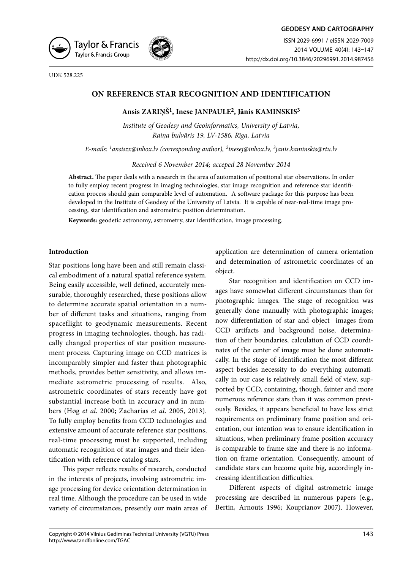

UDK 528.225

ISSN 2029-6991 / eISSN 2029-7009 2014 Volume 40(4): 143–147 http://dx.doi.org/10.3846/20296991.2014.987456

# **ON REFERENCE STAR RECOGNITION AND IDENTIFICATION**

# **Ansis ZARIŅŠ1, Inese JANPAULE2, Jānis KAMINSKIS3**

*Institute of Geodesy and Geoinformatics, University of Latvia, Raiņa bulvāris 19, LV-1586, Rīga, Latvia*

*E-mails: 1ansiszx@inbox.lv (corresponding author), 2inesej@inbox.lv, 3janis.kaminskis@rtu.lv*

*Received 6 November 2014; acceped 28 November 2014*

**Abstract.** The paper deals with a research in the area of automation of positional star observations. In order to fully employ recent progress in imaging technologies, star image recognition and reference star identification process should gain comparable level of automation. A software package for this purpose has been developed in the Institute of Geodesy of the University of Latvia. It is capable of near-real-time image processing, star identification and astrometric position determination.

**Keywords:** geodetic astronomy, astrometry, star identification, image processing.

## **Introduction**

Star positions long have been and still remain classical embodiment of a natural spatial reference system. Being easily accessible, well defined, accurately measurable, thoroughly researched, these positions allow to determine accurate spatial orientation in a number of different tasks and situations, ranging from spaceflight to geodynamic measurements. Recent progress in imaging technologies, though, has radically changed properties of star position measurement process. Capturing image on CCD matrices is incomparably simpler and faster than photographic methods, provides better sensitivity, and allows immediate astrometric processing of results. Also, astrometric coordinates of stars recently have got substantial increase both in accuracy and in numbers (Høg *et al*. 2000; Zacharias *et al*. 2005, 2013). To fully employ benefits from CCD technologies and extensive amount of accurate reference star positions, real-time processing must be supported, including automatic recognition of star images and their identification with reference catalog stars.

This paper reflects results of research, conducted in the interests of projects, involving astrometric image processing for device orientation determination in real time. Although the procedure can be used in wide variety of circumstances, presently our main areas of

application are determination of camera orientation and determination of astrometric coordinates of an object.

Star recognition and identification on CCD images have somewhat different circumstances than for photographic images. The stage of recognition was generally done manually with photographic images; now differentiation of star and object images from CCD artifacts and background noise, determination of their boundaries, calculation of CCD coordinates of the center of image must be done automatically. In the stage of identification the most different aspect besides necessity to do everything automatically in our case is relatively small field of view, supported by CCD, containing, though, fainter and more numerous reference stars than it was common previously. Besides, it appears beneficial to have less strict requirements on preliminary frame position and orientation, our intention was to ensure identification in situations, when preliminary frame position accuracy is comparable to frame size and there is no information on frame orientation. Consequently, amount of candidate stars can become quite big, accordingly increasing identification difficulties.

Different aspects of digital astrometric image processing are described in numerous papers (e.g., Bertin, Arnouts 1996; Kouprianov 2007). However,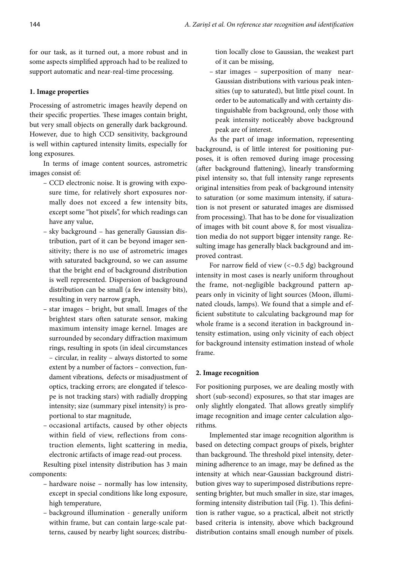for our task, as it turned out, a more robust and in some aspects simplified approach had to be realized to support automatic and near-real-time processing.

# **1. Image properties**

Processing of astrometric images heavily depend on their specific properties. These images contain bright, but very small objects on generally dark background. However, due to high CCD sensitivity, background is well within captured intensity limits, especially for long exposures.

In terms of image content sources, astrometric images consist of:

- CCD electronic noise. It is growing with exposure time, for relatively short exposures normally does not exceed a few intensity bits, except some "hot pixels", for which readings can have any value,
- sky background has generally Gaussian distribution, part of it can be beyond imager sensitivity; there is no use of astrometric images with saturated background, so we can assume that the bright end of background distribution is well represented. Dispersion of background distribution can be small (a few intensity bits), resulting in very narrow graph,
- star images bright, but small. Images of the brightest stars often saturate sensor, making maximum intensity image kernel. Images are surrounded by secondary diffraction maximum rings, resulting in spots (in ideal circumstances – circular, in reality – always distorted to some extent by a number of factors – convection, fundament vibrations, defects or misadjustment of optics, tracking errors; are elongated if telescope is not tracking stars) with radially dropping intensity; size (summary pixel intensity) is proportional to star magnitude,
- occasional artifacts, caused by other objects within field of view, reflections from construction elements, light scattering in media, electronic artifacts of image read-out process.

Resulting pixel intensity distribution has 3 main components:

- hardware noise normally has low intensity, except in special conditions like long exposure, high temperature,
- background illumination generally uniform within frame, but can contain large-scale patterns, caused by nearby light sources; distribu-

tion locally close to Gaussian, the weakest part of it can be missing,

– star images – superposition of many near-Gaussian distributions with various peak intensities (up to saturated), but little pixel count. In order to be automatically and with certainty distinguishable from background, only those with peak intensity noticeably above background peak are of interest.

As the part of image information, representing background, is of little interest for positioning purposes, it is often removed during image processing (after background flattening), linearly transforming pixel intensity so, that full intensity range represents original intensities from peak of background intensity to saturation (or some maximum intensity, if saturation is not present or saturated images are dismissed from processing). That has to be done for visualization of images with bit count above 8, for most visualization media do not support bigger intensity range. Resulting image has generally black background and improved contrast.

For narrow field of view  $\left(<\sim 0.5\right)$  dg) background intensity in most cases is nearly uniform throughout the frame, not-negligible background pattern appears only in vicinity of light sources (Moon, illuminated clouds, lamps). We found that a simple and efficient substitute to calculating background map for whole frame is a second iteration in background intensity estimation, using only vicinity of each object for background intensity estimation instead of whole frame.

# **2. Image recognition**

For positioning purposes, we are dealing mostly with short (sub-second) exposures, so that star images are only slightly elongated. That allows greatly simplify image recognition and image center calculation algorithms.

Implemented star image recognition algorithm is based on detecting compact groups of pixels, brighter than background. The threshold pixel intensity, determining adherence to an image, may be defined as the intensity at which near-Gaussian background distribution gives way to superimposed distributions representing brighter, but much smaller in size, star images, forming intensity distribution tail (Fig. 1). This definition is rather vague, so a practical, albeit not strictly based criteria is intensity, above which background distribution contains small enough number of pixels.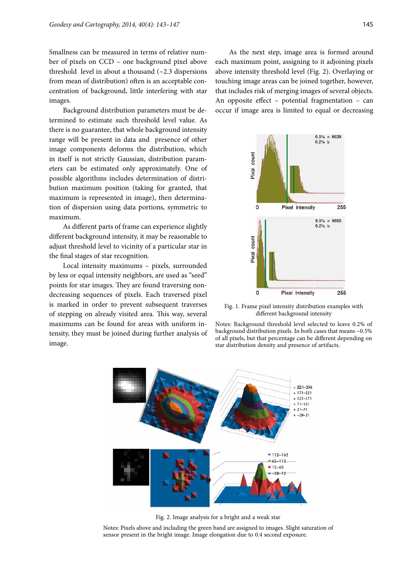Smallness can be measured in terms of relative number of pixels on CCD – one background pixel above threshold level in about a thousand  $(\sim 2.3$  dispersions from mean of distribution) often is an acceptable concentration of background, little interfering with star images.

Background distribution parameters must be determined to estimate such threshold level value. As there is no guarantee, that whole background intensity range will be present in data and presence of other image components deforms the distribution, which in itself is not strictly Gaussian, distribution parameters can be estimated only approximately. One of possible algorithms includes determination of distribution maximum position (taking for granted, that maximum is represented in image), then determination of dispersion using data portions, symmetric to maximum.

As different parts of frame can experience slightly different background intensity, it may be reasonable to adjust threshold level to vicinity of a particular star in the final stages of star recognition.

Local intensity maximums – pixels, surrounded by less or equal intensity neighbors, are used as "seed" points for star images. They are found traversing nondecreasing sequences of pixels. Each traversed pixel is marked in order to prevent subsequent traverses of stepping on already visited area. This way, several maximums can be found for areas with uniform intensity, they must be joined during further analysis of image.

As the next step, image area is formed around each maximum point, assigning to it adjoining pixels above intensity threshold level (Fig. 2). Overlaying or touching image areas can be joined together, however, that includes risk of merging images of several objects. An opposite effect – potential fragmentation – can occur if image area is limited to equal or decreasing



Fig. 1. Frame pixel intensity distribution examples with different background intensity

Notes: Background threshold level selected to leave 0.2% of background distribution pixels. In both cases that means ~0.5% of all pixels, but that percentage can be different depending on star distribution density and presence of artifacts.



Fig. 2. Image analysis for a bright and a weak star

Notes: Pixels above and including the green band are assigned to images. Slight saturation of sensor present in the bright image. Image elongation due to 0.4 second exposure.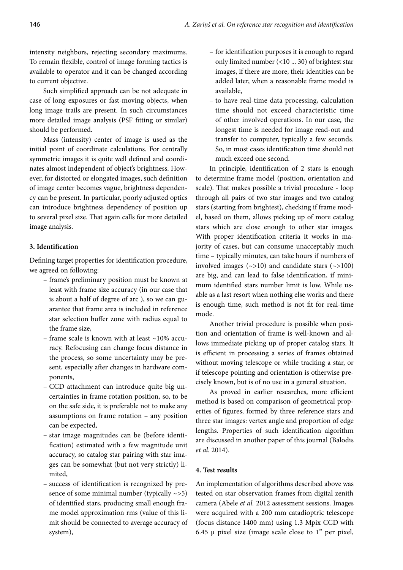intensity neighbors, rejecting secondary maximums. To remain flexible, control of image forming tactics is available to operator and it can be changed according to current objective.

Such simplified approach can be not adequate in case of long exposures or fast-moving objects, when long image trails are present. In such circumstances more detailed image analysis (PSF fitting or similar) should be performed.

Mass (intensity) center of image is used as the initial point of coordinate calculations. For centrally symmetric images it is quite well defined and coordinates almost independent of object's brightness. However, for distorted or elongated images, such definition of image center becomes vague, brightness dependency can be present. In particular, poorly adjusted optics can introduce brightness dependency of position up to several pixel size. That again calls for more detailed image analysis.

## **3. Identification**

Defining target properties for identification procedure, we agreed on following:

- frame's preliminary position must be known at least with frame size accuracy (in our case that is about a half of degree of arc ), so we can guarantee that frame area is included in reference star selection buffer zone with radius equal to the frame size,
- frame scale is known with at least  $\sim$ 10% accuracy. Refocusing can change focus distance in the process, so some uncertainty may be present, especially after changes in hardware components,
- CCD attachment can introduce quite big uncertainties in frame rotation position, so, to be on the safe side, it is preferable not to make any assumptions on frame rotation – any position can be expected,
- star image magnitudes can be (before identification) estimated with a few magnitude unit accuracy, so catalog star pairing with star images can be somewhat (but not very strictly) limited,
- success of identification is recognized by presence of some minimal number (typically  $\sim$ >5) of identified stars, producing small enough frame model approximation rms (value of this limit should be connected to average accuracy of system),
- for identification purposes it is enough to regard only limited number (<10 ... 30) of brightest star images, if there are more, their identities can be added later, when a reasonable frame model is available,
- to have real-time data processing, calculation time should not exceed characteristic time of other involved operations. In our case, the longest time is needed for image read-out and transfer to computer, typically a few seconds. So, in most cases identification time should not much exceed one second.

In principle, identification of 2 stars is enough to determine frame model (position, orientation and scale). That makes possible a trivial procedure - loop through all pairs of two star images and two catalog stars (starting from brightest), checking if frame model, based on them, allows picking up of more catalog stars which are close enough to other star images. With proper identification criteria it works in majority of cases, but can consume unacceptably much time – typically minutes, can take hours if numbers of involved images  $(\sim >10)$  and candidate stars  $(\sim >100)$ are big, and can lead to false identification, if minimum identified stars number limit is low. While usable as a last resort when nothing else works and there is enough time, such method is not fit for real-time mode.

Another trivial procedure is possible when position and orientation of frame is well-known and allows immediate picking up of proper catalog stars. It is efficient in processing a series of frames obtained without moving telescope or while tracking a star, or if telescope pointing and orientation is otherwise precisely known, but is of no use in a general situation.

As proved in earlier researches, more efficient method is based on comparison of geometrical properties of figures, formed by three reference stars and three star images: vertex angle and proportion of edge lengths. Properties of such identification algorithm are discussed in another paper of this journal (Balodis *et al*. 2014).

#### **4. Test results**

An implementation of algorithms described above was tested on star observation frames from digital zenith camera (Abele *et al.* 2012 assessment sessions. Images were acquired with a 200 mm catadioptric telescope (focus distance 1400 mm) using 1.3 Mpix CCD with 6.45  $\mu$  pixel size (image scale close to 1" per pixel,